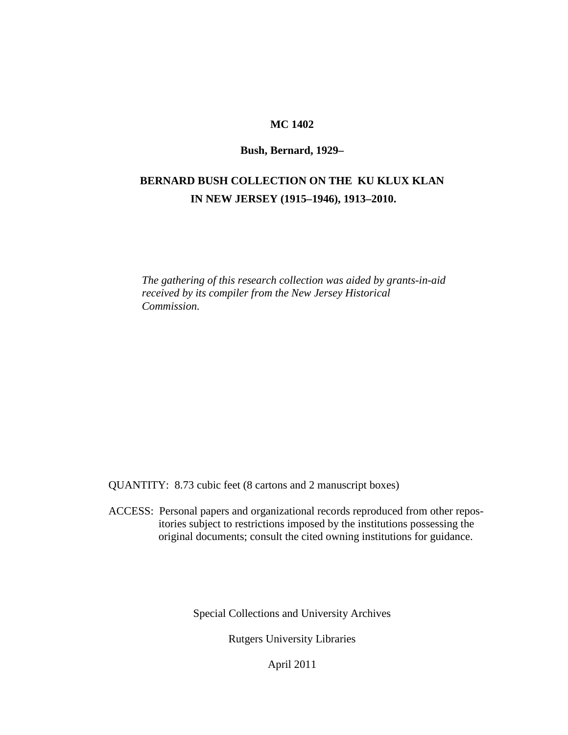### **MC 1402**

#### **Bush, Bernard, 1929–**

## **BERNARD BUSH COLLECTION ON THE KU KLUX KLAN IN NEW JERSEY (1915–1946), 1913–2010.**

*The gathering of this research collection was aided by grants-in-aid received by its compiler from the New Jersey Historical Commission.*

QUANTITY: 8.73 cubic feet (8 cartons and 2 manuscript boxes)

 ACCESS: Personal papers and organizational records reproduced from other repos itories subject to restrictions imposed by the institutions possessing the original documents; consult the cited owning institutions for guidance.

Special Collections and University Archives

Rutgers University Libraries

April 2011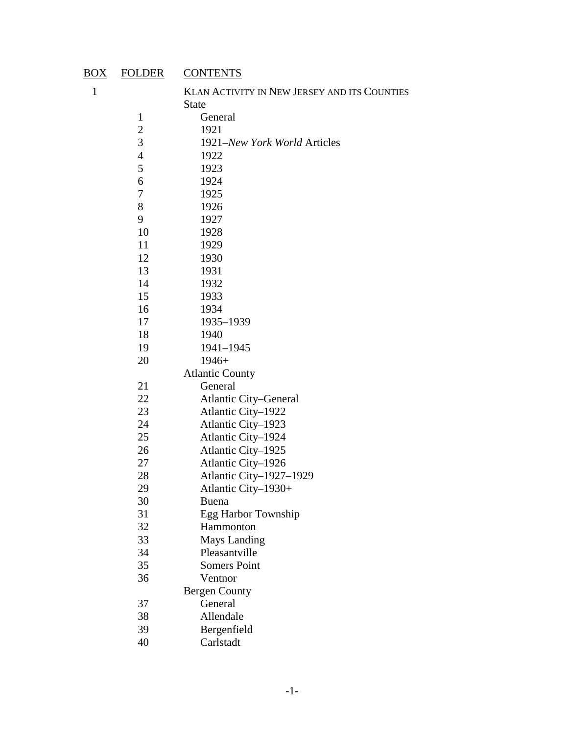# BOX FOLDER CONTENTS

| KLAN ACTIVITY IN NEW JERSEY AND ITS COUNTIES |
|----------------------------------------------|
| <b>State</b>                                 |
| General                                      |
| 1921                                         |
| 1921-New York World Articles                 |
| 1922                                         |
| 1923                                         |
| 1924                                         |
| 1925                                         |
| 1926                                         |
| 1927                                         |
| 1928                                         |
| 1929                                         |
| 1930                                         |
| 1931                                         |
| 1932                                         |
| 1933                                         |
| 1934                                         |
| 1935-1939                                    |
| 1940                                         |
| 1941-1945                                    |
| $1946+$                                      |
| <b>Atlantic County</b>                       |
| General                                      |
| <b>Atlantic City-General</b>                 |
| Atlantic City-1922                           |
| Atlantic City-1923                           |
| Atlantic City-1924                           |
| Atlantic City-1925                           |
| Atlantic City-1926                           |
| Atlantic City-1927-1929                      |
| Atlantic City-1930+                          |
| <b>Buena</b>                                 |
| Egg Harbor Township                          |
| Hammonton                                    |
| <b>Mays Landing</b>                          |
| Pleasantville                                |
| <b>Somers Point</b>                          |
| Ventnor                                      |
| <b>Bergen County</b>                         |
| General                                      |
| Allendale                                    |
| Bergenfield                                  |
| Carlstadt                                    |
|                                              |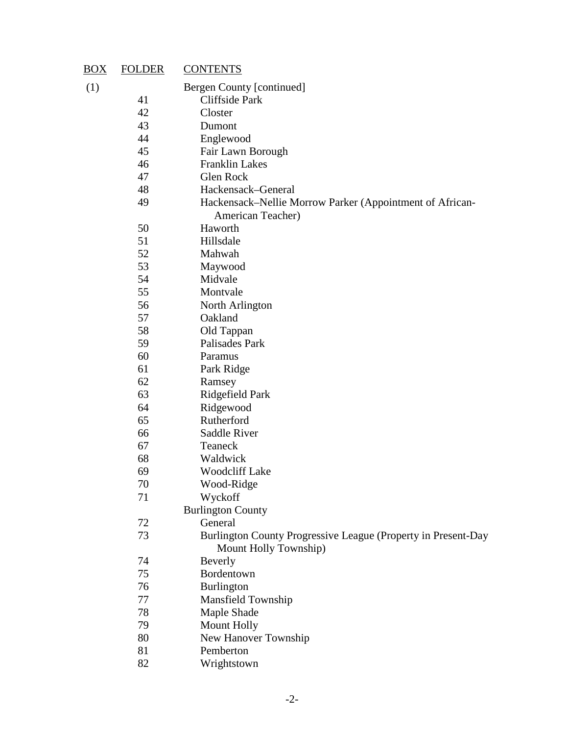| $\underline{BOX}$ | <b>FOLDER</b> | <b>CONTENTS</b>                                                                        |
|-------------------|---------------|----------------------------------------------------------------------------------------|
| (1)               |               | Bergen County [continued]                                                              |
|                   | 41            | Cliffside Park                                                                         |
|                   | 42            | Closter                                                                                |
|                   | 43            | Dumont                                                                                 |
|                   | 44            | Englewood                                                                              |
|                   | 45            | Fair Lawn Borough                                                                      |
|                   | 46            | <b>Franklin Lakes</b>                                                                  |
|                   | 47            | Glen Rock                                                                              |
|                   | 48            | Hackensack-General                                                                     |
|                   | 49            | Hackensack–Nellie Morrow Parker (Appointment of African-<br>American Teacher)          |
|                   | 50            | Haworth                                                                                |
|                   | 51            | Hillsdale                                                                              |
|                   | 52            | Mahwah                                                                                 |
|                   | 53            | Maywood                                                                                |
|                   | 54            | Midvale                                                                                |
|                   | 55            | Montvale                                                                               |
|                   | 56            | North Arlington                                                                        |
|                   | 57            | Oakland                                                                                |
|                   | 58            | Old Tappan                                                                             |
|                   | 59            | Palisades Park                                                                         |
|                   | 60            | Paramus                                                                                |
|                   | 61            | Park Ridge                                                                             |
|                   | 62            | Ramsey                                                                                 |
|                   | 63            | Ridgefield Park                                                                        |
|                   | 64            | Ridgewood                                                                              |
|                   | 65            | Rutherford                                                                             |
|                   | 66            | Saddle River                                                                           |
|                   | 67            | Teaneck                                                                                |
|                   | 68            | Waldwick                                                                               |
|                   | 69            | <b>Woodcliff Lake</b>                                                                  |
|                   | 70            | Wood-Ridge                                                                             |
|                   | 71            | Wyckoff                                                                                |
|                   |               | <b>Burlington County</b>                                                               |
|                   | 72            | General                                                                                |
|                   | 73            | Burlington County Progressive League (Property in Present-Day<br>Mount Holly Township) |
|                   | 74            | Beverly                                                                                |
|                   | 75            | Bordentown                                                                             |
|                   | 76            | Burlington                                                                             |
|                   | 77            | Mansfield Township                                                                     |
|                   | 78            | Maple Shade                                                                            |
|                   | 79            | <b>Mount Holly</b>                                                                     |
|                   | 80            | New Hanover Township                                                                   |
|                   | 81            | Pemberton                                                                              |
|                   | 82            | Wrightstown                                                                            |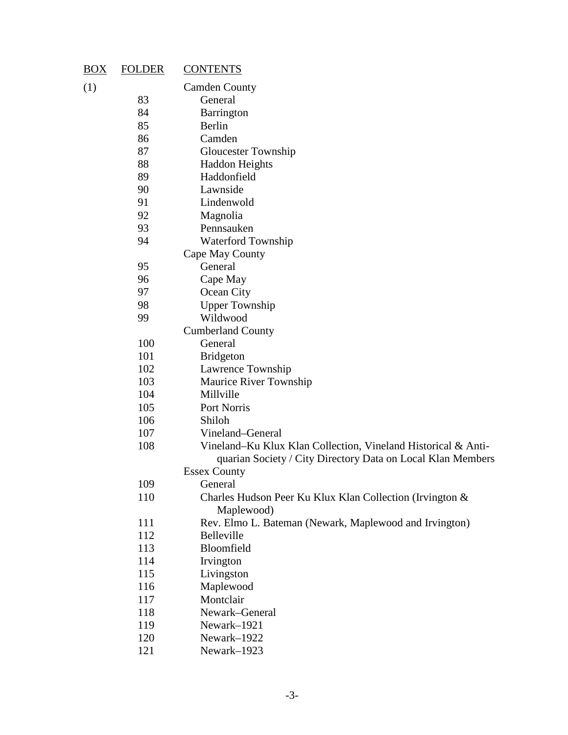| $\overline{BOX}$ | <b>FOLDER</b> | <b>CONTENTS</b>                                               |
|------------------|---------------|---------------------------------------------------------------|
| (1)              |               | <b>Camden County</b>                                          |
|                  | 83            | General                                                       |
|                  | 84            | Barrington                                                    |
|                  | 85            | Berlin                                                        |
|                  | 86            | Camden                                                        |
|                  | 87            | <b>Gloucester Township</b>                                    |
|                  | 88            | <b>Haddon Heights</b>                                         |
|                  | 89            | Haddonfield                                                   |
|                  | 90            | Lawnside                                                      |
|                  | 91            | Lindenwold                                                    |
|                  | 92            | Magnolia                                                      |
|                  | 93            | Pennsauken                                                    |
|                  | 94            | Waterford Township                                            |
|                  |               | Cape May County                                               |
|                  | 95            | General                                                       |
|                  | 96            | Cape May                                                      |
|                  | 97            | Ocean City                                                    |
|                  | 98            | <b>Upper Township</b>                                         |
|                  | 99            | Wildwood                                                      |
|                  |               | <b>Cumberland County</b>                                      |
|                  | 100           | General                                                       |
|                  | 101           | <b>Bridgeton</b>                                              |
|                  | 102           | Lawrence Township                                             |
|                  | 103           | Maurice River Township                                        |
|                  | 104           | Millville                                                     |
|                  | 105           | Port Norris                                                   |
|                  | 106           | Shiloh                                                        |
|                  | 107           | Vineland-General                                              |
|                  | 108           | Vineland–Ku Klux Klan Collection, Vineland Historical & Anti- |
|                  |               | quarian Society / City Directory Data on Local Klan Members   |
|                  |               | <b>Essex County</b>                                           |
|                  | 109           | General                                                       |
|                  | 110           | Charles Hudson Peer Ku Klux Klan Collection (Irvington &      |
|                  |               | Maplewood)                                                    |
|                  | 111           | Rev. Elmo L. Bateman (Newark, Maplewood and Irvington)        |
|                  | 112           | Belleville                                                    |
|                  | 113           | Bloomfield                                                    |
|                  | 114           | Irvington                                                     |
|                  | 115           | Livingston                                                    |
|                  | 116           | Maplewood                                                     |
|                  | 117           | Montclair                                                     |
|                  | 118           | Newark-General                                                |
|                  | 119           | Newark-1921                                                   |
|                  | 120           | Newark-1922                                                   |

Newark–1923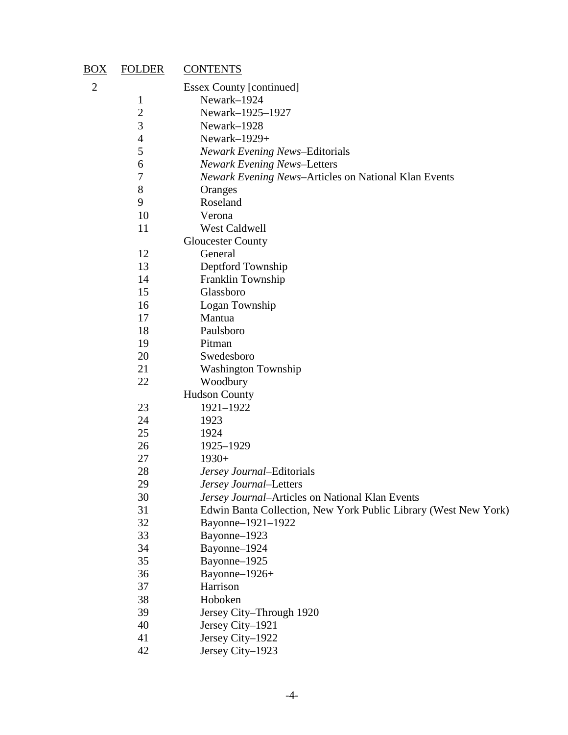| <u>BOX</u>     | <b>FOLDER</b>  | <b>CONTENTS</b>                                                 |
|----------------|----------------|-----------------------------------------------------------------|
| $\overline{c}$ |                | <b>Essex County [continued]</b>                                 |
|                | $\mathbf 1$    | Newark-1924                                                     |
|                | $\overline{c}$ | Newark-1925-1927                                                |
|                | 3              | Newark-1928                                                     |
|                | $\overline{4}$ | Newark-1929+                                                    |
|                | 5              | <b>Newark Evening News-Editorials</b>                           |
|                | 6              | <b>Newark Evening News-Letters</b>                              |
|                | 7              | Newark Evening News-Articles on National Klan Events            |
|                | 8              | Oranges                                                         |
|                | 9              | Roseland                                                        |
|                | 10             | Verona                                                          |
|                | 11             | West Caldwell                                                   |
|                |                | <b>Gloucester County</b>                                        |
|                | 12             | General                                                         |
|                | 13             | Deptford Township                                               |
|                | 14             | Franklin Township                                               |
|                | 15             | Glassboro                                                       |
|                | 16             | Logan Township                                                  |
|                | 17             | Mantua                                                          |
|                | 18             | Paulsboro                                                       |
|                | 19             | Pitman                                                          |
|                | 20             | Swedesboro                                                      |
|                | 21             | <b>Washington Township</b>                                      |
|                | 22             | Woodbury                                                        |
|                |                | <b>Hudson County</b>                                            |
|                | 23             | 1921-1922                                                       |
|                | 24             | 1923                                                            |
|                | 25             | 1924                                                            |
|                | 26             | 1925-1929                                                       |
|                | 27             | $1930+$                                                         |
|                | 28             | Jersey Journal-Editorials                                       |
|                | 29             | <i>Jersey Journal</i> –Letters                                  |
|                | 30             | Jersey Journal-Articles on National Klan Events                 |
|                | 31             | Edwin Banta Collection, New York Public Library (West New York) |
|                | 32             | Bayonne-1921-1922                                               |
|                | 33             | Bayonne-1923                                                    |
|                | 34             | Bayonne-1924                                                    |
|                | 35             | Bayonne-1925                                                    |
|                | 36             | Bayonne-1926+                                                   |
|                | 37             | Harrison                                                        |
|                | 38             | Hoboken                                                         |
|                | 39             | Jersey City-Through 1920                                        |
|                | 40             | Jersey City-1921                                                |
|                | 41             | Jersey City-1922                                                |
|                | 42             | Jersey City-1923                                                |
|                |                |                                                                 |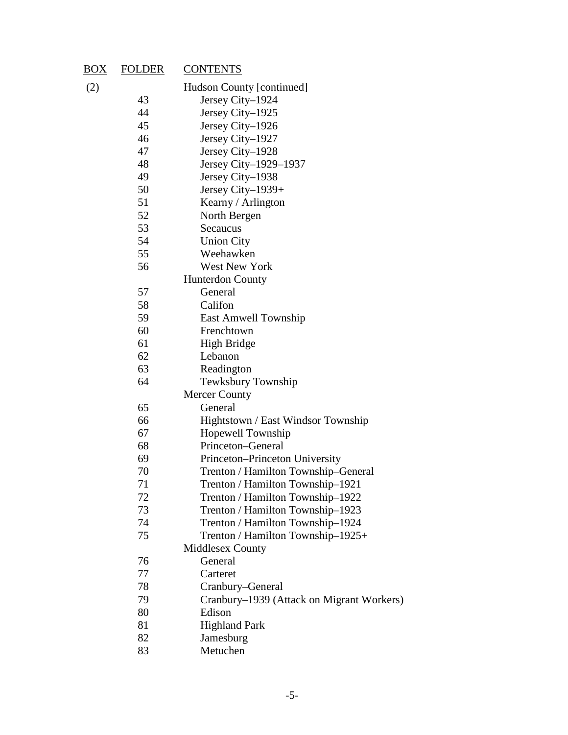| $\underline{BOX}$ | <b>FOLDER</b> | <b>CONTENTS</b>                           |
|-------------------|---------------|-------------------------------------------|
| (2)               |               | Hudson County [continued]                 |
|                   | 43            | Jersey City-1924                          |
|                   | 44            | Jersey City-1925                          |
|                   | 45            | Jersey City-1926                          |
|                   | 46            | Jersey City-1927                          |
|                   | 47            | Jersey City-1928                          |
|                   | 48            | Jersey City-1929-1937                     |
|                   | 49            | Jersey City-1938                          |
|                   | 50            | Jersey City-1939+                         |
|                   | 51            | Kearny / Arlington                        |
|                   | 52            | North Bergen                              |
|                   | 53            | Secaucus                                  |
|                   | 54            | <b>Union City</b>                         |
|                   | 55            | Weehawken                                 |
|                   | 56            | <b>West New York</b>                      |
|                   |               | <b>Hunterdon County</b>                   |
|                   | 57            | General                                   |
|                   | 58            | Califon                                   |
|                   | 59            | East Amwell Township                      |
|                   | 60            | Frenchtown                                |
|                   | 61            | High Bridge                               |
|                   | 62            | Lebanon                                   |
|                   | 63            | Readington                                |
|                   | 64            | Tewksbury Township                        |
|                   |               | <b>Mercer County</b>                      |
|                   | 65            | General                                   |
|                   | 66            | Hightstown / East Windsor Township        |
|                   | 67            | Hopewell Township                         |
|                   | 68            | Princeton–General                         |
|                   | 69            | Princeton-Princeton University            |
|                   | 70            | Trenton / Hamilton Township-General       |
|                   | 71            | Trenton / Hamilton Township-1921          |
|                   | 72            | Trenton / Hamilton Township-1922          |
|                   | 73            | Trenton / Hamilton Township-1923          |
|                   | 74            | Trenton / Hamilton Township-1924          |
|                   | 75            | Trenton / Hamilton Township-1925+         |
|                   |               | <b>Middlesex County</b>                   |
|                   | 76            | General                                   |
|                   | 77            | Carteret                                  |
|                   | 78            | Cranbury-General                          |
|                   | 79            | Cranbury-1939 (Attack on Migrant Workers) |
|                   | 80            | Edison                                    |
|                   | 81            | <b>Highland Park</b>                      |
|                   | 82            | Jamesburg                                 |
|                   | 83            | Metuchen                                  |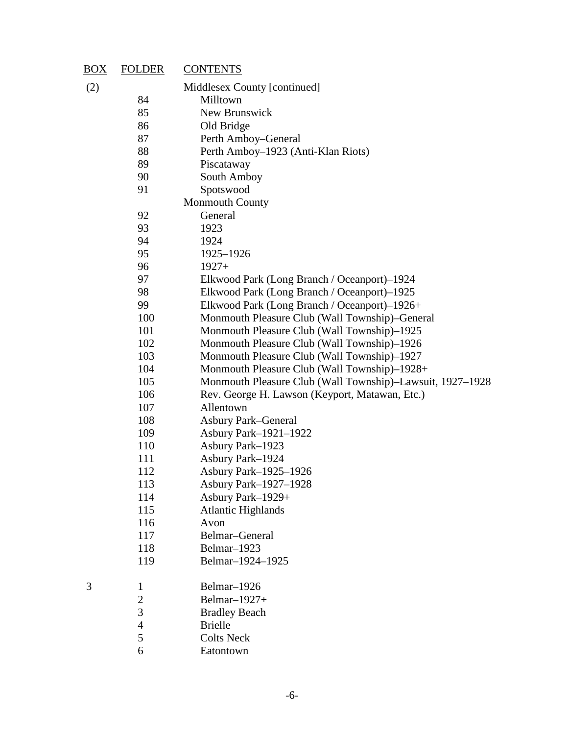| $\overline{BOX}$ | <b>FOLDER</b>  | <b>CONTENTS</b>                                           |
|------------------|----------------|-----------------------------------------------------------|
| (2)              |                | Middlesex County [continued]                              |
|                  | 84             | Milltown                                                  |
|                  | 85             | New Brunswick                                             |
|                  | 86             | Old Bridge                                                |
|                  | 87             | Perth Amboy–General                                       |
|                  | 88             | Perth Amboy–1923 (Anti-Klan Riots)                        |
|                  | 89             | Piscataway                                                |
|                  | 90             | South Amboy                                               |
|                  | 91             | Spotswood                                                 |
|                  |                | <b>Monmouth County</b>                                    |
|                  | 92             | General                                                   |
|                  | 93             | 1923                                                      |
|                  | 94             | 1924                                                      |
|                  | 95             | 1925-1926                                                 |
|                  | 96             | $1927+$                                                   |
|                  | 97             | Elkwood Park (Long Branch / Oceanport)–1924               |
|                  | 98             | Elkwood Park (Long Branch / Oceanport)–1925               |
|                  | 99             | Elkwood Park (Long Branch / Oceanport)-1926+              |
|                  | 100            | Monmouth Pleasure Club (Wall Township)–General            |
|                  | 101            | Monmouth Pleasure Club (Wall Township)–1925               |
|                  | 102            | Monmouth Pleasure Club (Wall Township)–1926               |
|                  | 103            | Monmouth Pleasure Club (Wall Township)–1927               |
|                  | 104            | Monmouth Pleasure Club (Wall Township)–1928+              |
|                  | 105            | Monmouth Pleasure Club (Wall Township)-Lawsuit, 1927-1928 |
|                  | 106            | Rev. George H. Lawson (Keyport, Matawan, Etc.)            |
|                  | 107            | Allentown                                                 |
|                  | 108            | <b>Asbury Park–General</b>                                |
|                  | 109            | Asbury Park-1921-1922                                     |
|                  | 110            | Asbury Park-1923                                          |
|                  | 111            | Asbury Park-1924                                          |
|                  | 112            | Asbury Park-1925-1926                                     |
|                  | 113            | <b>Asbury Park-1927-1928</b>                              |
|                  | 114            | Asbury Park-1929+                                         |
|                  | 115            | <b>Atlantic Highlands</b>                                 |
|                  | 116            | Avon                                                      |
|                  | 117            | Belmar-General                                            |
|                  | 118            | Belmar-1923                                               |
|                  | 119            | Belmar-1924-1925                                          |
| 3                | $\mathbf{1}$   | Belmar-1926                                               |
|                  | $\mathbf{2}$   | Belmar-1927+                                              |
|                  | 3              | <b>Bradley Beach</b>                                      |
|                  | $\overline{4}$ | <b>Brielle</b>                                            |
|                  | 5              | <b>Colts Neck</b>                                         |
|                  | 6              | Eatontown                                                 |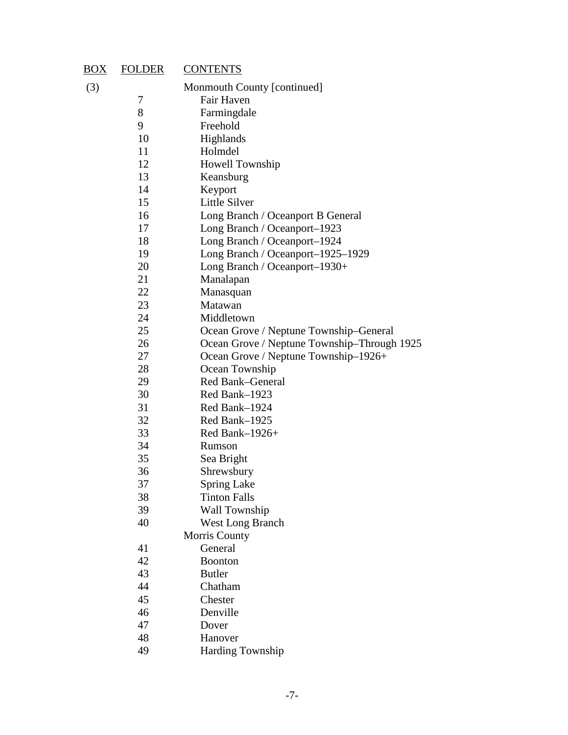| $\overline{BOX}$ | <b>FOLDER</b> | <b>CONTENTS</b>                             |
|------------------|---------------|---------------------------------------------|
| (3)              |               | Monmouth County [continued]                 |
|                  | 7             | Fair Haven                                  |
|                  | 8             | Farmingdale                                 |
|                  | 9             | Freehold                                    |
|                  | 10            | Highlands                                   |
|                  | 11            | Holmdel                                     |
|                  | 12            | Howell Township                             |
|                  | 13            | Keansburg                                   |
|                  | 14            | Keyport                                     |
|                  | 15            | Little Silver                               |
|                  | 16            | Long Branch / Oceanport B General           |
|                  | 17            | Long Branch / Oceanport-1923                |
|                  | 18            | Long Branch / Oceanport-1924                |
|                  | 19            | Long Branch / Oceanport-1925-1929           |
|                  | 20<br>21      | Long Branch / Oceanport-1930+               |
|                  | 22            | Manalapan<br>Manasquan                      |
|                  | 23            | Matawan                                     |
|                  | 24            | Middletown                                  |
|                  | 25            | Ocean Grove / Neptune Township-General      |
|                  | 26            | Ocean Grove / Neptune Township-Through 1925 |
|                  | 27            | Ocean Grove / Neptune Township-1926+        |
|                  | 28            | Ocean Township                              |
|                  | 29            | Red Bank-General                            |
|                  | 30            | Red Bank-1923                               |
|                  | 31            | Red Bank-1924                               |
|                  | 32            | Red Bank-1925                               |
|                  | 33            | Red Bank-1926+                              |
|                  | 34            | Rumson                                      |
|                  | 35            | Sea Bright                                  |
|                  | 36            | Shrewsbury                                  |
|                  | 37            | <b>Spring Lake</b>                          |
|                  | 38            | <b>Tinton Falls</b>                         |
|                  | 39            | Wall Township                               |
|                  | 40            | <b>West Long Branch</b>                     |
|                  |               | Morris County                               |
|                  | 41            | General                                     |
|                  | 42            | <b>Boonton</b>                              |
|                  | 43            | <b>Butler</b>                               |
|                  | 44            | Chatham                                     |
|                  | 45            | Chester                                     |
|                  | 46            | Denville                                    |
|                  | 47            | Dover                                       |
|                  | 48            | Hanover                                     |
|                  | 49            | <b>Harding Township</b>                     |
|                  |               |                                             |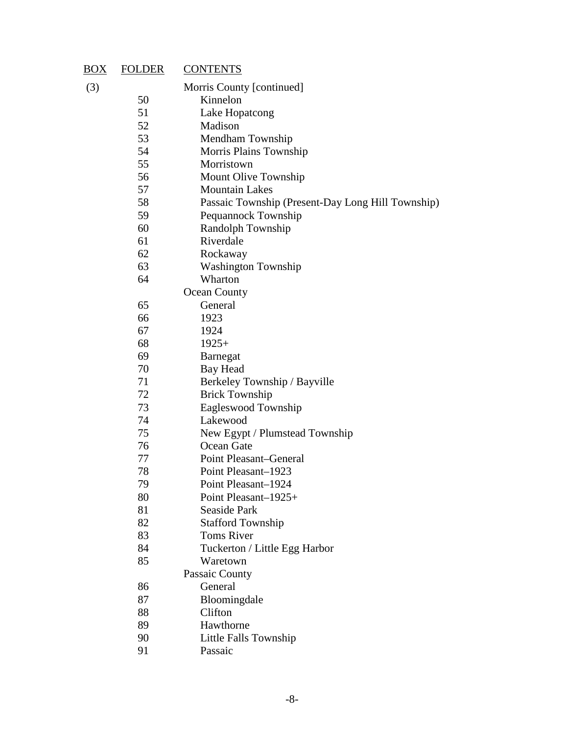| $\underline{BOX}$                                                                | <b>FOLDER</b> | <b>CONTENTS</b>                                   |  |
|----------------------------------------------------------------------------------|---------------|---------------------------------------------------|--|
| (3)                                                                              |               | Morris County [continued]                         |  |
|                                                                                  | 50            | Kinnelon                                          |  |
|                                                                                  | 51            | Lake Hopatcong                                    |  |
|                                                                                  | 52            | Madison                                           |  |
|                                                                                  | 53            | Mendham Township                                  |  |
|                                                                                  | 54            | Morris Plains Township                            |  |
|                                                                                  | 55            | Morristown                                        |  |
|                                                                                  | 56            | Mount Olive Township                              |  |
|                                                                                  | 57            | <b>Mountain Lakes</b>                             |  |
|                                                                                  | 58            | Passaic Township (Present-Day Long Hill Township) |  |
|                                                                                  | 59            | Pequannock Township                               |  |
|                                                                                  | 60            | Randolph Township                                 |  |
|                                                                                  | 61            | Riverdale                                         |  |
|                                                                                  | 62            | Rockaway                                          |  |
|                                                                                  | 63            | <b>Washington Township</b>                        |  |
|                                                                                  | 64            | Wharton                                           |  |
|                                                                                  |               | Ocean County                                      |  |
|                                                                                  | 65            | General                                           |  |
|                                                                                  | 66            | 1923                                              |  |
|                                                                                  | 67            | 1924                                              |  |
| 68<br>$1925+$<br>69<br><b>Barnegat</b><br>70<br>Bay Head                         |               |                                                   |  |
|                                                                                  |               |                                                   |  |
|                                                                                  |               |                                                   |  |
| 71<br>72<br><b>Brick Township</b><br>73<br>Eagleswood Township<br>74<br>Lakewood |               | Berkeley Township / Bayville                      |  |
|                                                                                  |               |                                                   |  |
|                                                                                  |               |                                                   |  |
|                                                                                  |               |                                                   |  |
|                                                                                  | 75            | New Egypt / Plumstead Township                    |  |
|                                                                                  | 76            | Ocean Gate                                        |  |
|                                                                                  | 77            | <b>Point Pleasant–General</b>                     |  |
|                                                                                  | 78            | Point Pleasant-1923                               |  |
|                                                                                  | 79            | Point Pleasant-1924                               |  |
|                                                                                  | 80            | Point Pleasant-1925+                              |  |
|                                                                                  | 81            | Seaside Park                                      |  |
|                                                                                  | 82            | <b>Stafford Township</b>                          |  |
| 83<br><b>Toms River</b>                                                          |               |                                                   |  |
|                                                                                  | 84            | Tuckerton / Little Egg Harbor                     |  |
|                                                                                  | 85            | Waretown                                          |  |
|                                                                                  |               | Passaic County                                    |  |
|                                                                                  | 86            | General                                           |  |
|                                                                                  | 87            | Bloomingdale                                      |  |
|                                                                                  | 88            | Clifton                                           |  |
|                                                                                  | 89            | Hawthorne                                         |  |
|                                                                                  | 90            | Little Falls Township                             |  |
|                                                                                  | 91            | Passaic                                           |  |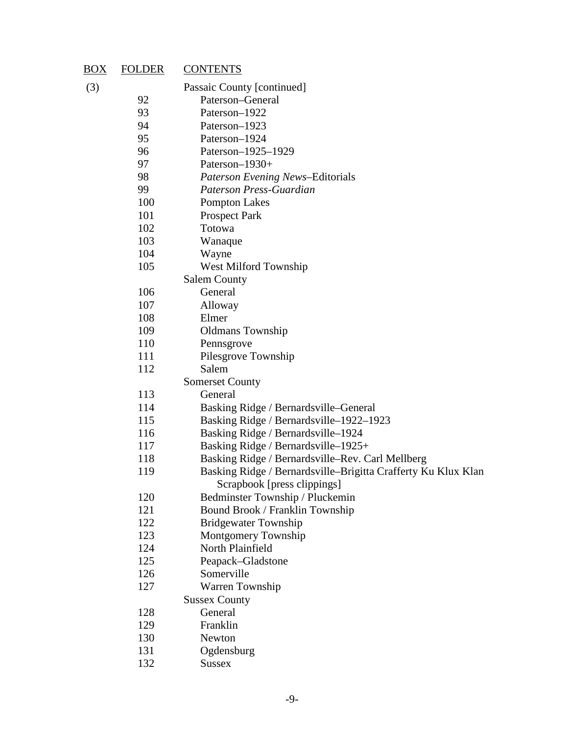| (3)<br>Passaic County [continued]<br>92<br>Paterson–General<br>93<br>Paterson-1922<br>94<br>Paterson-1923<br>95<br>Paterson-1924<br>96<br>Paterson-1925-1929<br>97<br>Paterson-1930+<br>98<br><b>Paterson Evening News-Editorials</b><br>99<br>Paterson Press-Guardian<br>100<br><b>Pompton Lakes</b><br>101<br><b>Prospect Park</b><br>102<br>Totowa<br>103<br>Wanaque<br>104<br>Wayne<br>105<br>West Milford Township<br><b>Salem County</b><br>General<br>106<br>107<br>Alloway<br>108<br>Elmer<br>109<br><b>Oldmans</b> Township<br>110<br>Pennsgrove<br>111<br>Pilesgrove Township<br>112<br>Salem<br><b>Somerset County</b><br>113<br>General<br>114<br>Basking Ridge / Bernardsville-General<br>115<br>Basking Ridge / Bernardsville-1922-1923<br>116<br>Basking Ridge / Bernardsville-1924<br>117<br>Basking Ridge / Bernardsville-1925+<br>118<br>Basking Ridge / Bernardsville-Rev. Carl Mellberg<br>Basking Ridge / Bernardsville-Brigitta Crafferty Ku Klux Klan<br>119<br>Scrapbook [press clippings]<br>120<br>Bedminster Township / Pluckemin<br>121<br>Bound Brook / Franklin Township<br>122<br><b>Bridgewater Township</b><br>123<br>Montgomery Township<br>124<br>North Plainfield<br>125<br>Peapack–Gladstone<br>Somerville<br>126<br>127<br>Warren Township<br><b>Sussex County</b><br>128<br>General<br>129<br>Franklin<br>130<br>Newton<br>131<br>Ogdensburg<br><b>Sussex</b> | $\frac{BOX}{E}$ | <b>FOLDER</b><br><b>CONTENTS</b> |  |
|------------------------------------------------------------------------------------------------------------------------------------------------------------------------------------------------------------------------------------------------------------------------------------------------------------------------------------------------------------------------------------------------------------------------------------------------------------------------------------------------------------------------------------------------------------------------------------------------------------------------------------------------------------------------------------------------------------------------------------------------------------------------------------------------------------------------------------------------------------------------------------------------------------------------------------------------------------------------------------------------------------------------------------------------------------------------------------------------------------------------------------------------------------------------------------------------------------------------------------------------------------------------------------------------------------------------------------------------------------------------------------------------------|-----------------|----------------------------------|--|
|                                                                                                                                                                                                                                                                                                                                                                                                                                                                                                                                                                                                                                                                                                                                                                                                                                                                                                                                                                                                                                                                                                                                                                                                                                                                                                                                                                                                      |                 |                                  |  |
|                                                                                                                                                                                                                                                                                                                                                                                                                                                                                                                                                                                                                                                                                                                                                                                                                                                                                                                                                                                                                                                                                                                                                                                                                                                                                                                                                                                                      |                 |                                  |  |
|                                                                                                                                                                                                                                                                                                                                                                                                                                                                                                                                                                                                                                                                                                                                                                                                                                                                                                                                                                                                                                                                                                                                                                                                                                                                                                                                                                                                      |                 |                                  |  |
|                                                                                                                                                                                                                                                                                                                                                                                                                                                                                                                                                                                                                                                                                                                                                                                                                                                                                                                                                                                                                                                                                                                                                                                                                                                                                                                                                                                                      |                 |                                  |  |
|                                                                                                                                                                                                                                                                                                                                                                                                                                                                                                                                                                                                                                                                                                                                                                                                                                                                                                                                                                                                                                                                                                                                                                                                                                                                                                                                                                                                      |                 |                                  |  |
|                                                                                                                                                                                                                                                                                                                                                                                                                                                                                                                                                                                                                                                                                                                                                                                                                                                                                                                                                                                                                                                                                                                                                                                                                                                                                                                                                                                                      |                 |                                  |  |
|                                                                                                                                                                                                                                                                                                                                                                                                                                                                                                                                                                                                                                                                                                                                                                                                                                                                                                                                                                                                                                                                                                                                                                                                                                                                                                                                                                                                      |                 |                                  |  |
|                                                                                                                                                                                                                                                                                                                                                                                                                                                                                                                                                                                                                                                                                                                                                                                                                                                                                                                                                                                                                                                                                                                                                                                                                                                                                                                                                                                                      |                 |                                  |  |
|                                                                                                                                                                                                                                                                                                                                                                                                                                                                                                                                                                                                                                                                                                                                                                                                                                                                                                                                                                                                                                                                                                                                                                                                                                                                                                                                                                                                      |                 |                                  |  |
|                                                                                                                                                                                                                                                                                                                                                                                                                                                                                                                                                                                                                                                                                                                                                                                                                                                                                                                                                                                                                                                                                                                                                                                                                                                                                                                                                                                                      |                 |                                  |  |
|                                                                                                                                                                                                                                                                                                                                                                                                                                                                                                                                                                                                                                                                                                                                                                                                                                                                                                                                                                                                                                                                                                                                                                                                                                                                                                                                                                                                      |                 |                                  |  |
|                                                                                                                                                                                                                                                                                                                                                                                                                                                                                                                                                                                                                                                                                                                                                                                                                                                                                                                                                                                                                                                                                                                                                                                                                                                                                                                                                                                                      |                 |                                  |  |
|                                                                                                                                                                                                                                                                                                                                                                                                                                                                                                                                                                                                                                                                                                                                                                                                                                                                                                                                                                                                                                                                                                                                                                                                                                                                                                                                                                                                      |                 |                                  |  |
|                                                                                                                                                                                                                                                                                                                                                                                                                                                                                                                                                                                                                                                                                                                                                                                                                                                                                                                                                                                                                                                                                                                                                                                                                                                                                                                                                                                                      |                 |                                  |  |
|                                                                                                                                                                                                                                                                                                                                                                                                                                                                                                                                                                                                                                                                                                                                                                                                                                                                                                                                                                                                                                                                                                                                                                                                                                                                                                                                                                                                      |                 |                                  |  |
|                                                                                                                                                                                                                                                                                                                                                                                                                                                                                                                                                                                                                                                                                                                                                                                                                                                                                                                                                                                                                                                                                                                                                                                                                                                                                                                                                                                                      |                 |                                  |  |
|                                                                                                                                                                                                                                                                                                                                                                                                                                                                                                                                                                                                                                                                                                                                                                                                                                                                                                                                                                                                                                                                                                                                                                                                                                                                                                                                                                                                      |                 |                                  |  |
|                                                                                                                                                                                                                                                                                                                                                                                                                                                                                                                                                                                                                                                                                                                                                                                                                                                                                                                                                                                                                                                                                                                                                                                                                                                                                                                                                                                                      |                 |                                  |  |
|                                                                                                                                                                                                                                                                                                                                                                                                                                                                                                                                                                                                                                                                                                                                                                                                                                                                                                                                                                                                                                                                                                                                                                                                                                                                                                                                                                                                      |                 |                                  |  |
|                                                                                                                                                                                                                                                                                                                                                                                                                                                                                                                                                                                                                                                                                                                                                                                                                                                                                                                                                                                                                                                                                                                                                                                                                                                                                                                                                                                                      |                 |                                  |  |
|                                                                                                                                                                                                                                                                                                                                                                                                                                                                                                                                                                                                                                                                                                                                                                                                                                                                                                                                                                                                                                                                                                                                                                                                                                                                                                                                                                                                      |                 |                                  |  |
|                                                                                                                                                                                                                                                                                                                                                                                                                                                                                                                                                                                                                                                                                                                                                                                                                                                                                                                                                                                                                                                                                                                                                                                                                                                                                                                                                                                                      |                 |                                  |  |
|                                                                                                                                                                                                                                                                                                                                                                                                                                                                                                                                                                                                                                                                                                                                                                                                                                                                                                                                                                                                                                                                                                                                                                                                                                                                                                                                                                                                      |                 |                                  |  |
|                                                                                                                                                                                                                                                                                                                                                                                                                                                                                                                                                                                                                                                                                                                                                                                                                                                                                                                                                                                                                                                                                                                                                                                                                                                                                                                                                                                                      |                 |                                  |  |
|                                                                                                                                                                                                                                                                                                                                                                                                                                                                                                                                                                                                                                                                                                                                                                                                                                                                                                                                                                                                                                                                                                                                                                                                                                                                                                                                                                                                      |                 |                                  |  |
|                                                                                                                                                                                                                                                                                                                                                                                                                                                                                                                                                                                                                                                                                                                                                                                                                                                                                                                                                                                                                                                                                                                                                                                                                                                                                                                                                                                                      |                 |                                  |  |
|                                                                                                                                                                                                                                                                                                                                                                                                                                                                                                                                                                                                                                                                                                                                                                                                                                                                                                                                                                                                                                                                                                                                                                                                                                                                                                                                                                                                      |                 |                                  |  |
|                                                                                                                                                                                                                                                                                                                                                                                                                                                                                                                                                                                                                                                                                                                                                                                                                                                                                                                                                                                                                                                                                                                                                                                                                                                                                                                                                                                                      |                 |                                  |  |
|                                                                                                                                                                                                                                                                                                                                                                                                                                                                                                                                                                                                                                                                                                                                                                                                                                                                                                                                                                                                                                                                                                                                                                                                                                                                                                                                                                                                      |                 |                                  |  |
|                                                                                                                                                                                                                                                                                                                                                                                                                                                                                                                                                                                                                                                                                                                                                                                                                                                                                                                                                                                                                                                                                                                                                                                                                                                                                                                                                                                                      |                 |                                  |  |
|                                                                                                                                                                                                                                                                                                                                                                                                                                                                                                                                                                                                                                                                                                                                                                                                                                                                                                                                                                                                                                                                                                                                                                                                                                                                                                                                                                                                      |                 |                                  |  |
|                                                                                                                                                                                                                                                                                                                                                                                                                                                                                                                                                                                                                                                                                                                                                                                                                                                                                                                                                                                                                                                                                                                                                                                                                                                                                                                                                                                                      |                 |                                  |  |
|                                                                                                                                                                                                                                                                                                                                                                                                                                                                                                                                                                                                                                                                                                                                                                                                                                                                                                                                                                                                                                                                                                                                                                                                                                                                                                                                                                                                      |                 |                                  |  |
|                                                                                                                                                                                                                                                                                                                                                                                                                                                                                                                                                                                                                                                                                                                                                                                                                                                                                                                                                                                                                                                                                                                                                                                                                                                                                                                                                                                                      |                 |                                  |  |
|                                                                                                                                                                                                                                                                                                                                                                                                                                                                                                                                                                                                                                                                                                                                                                                                                                                                                                                                                                                                                                                                                                                                                                                                                                                                                                                                                                                                      |                 |                                  |  |
|                                                                                                                                                                                                                                                                                                                                                                                                                                                                                                                                                                                                                                                                                                                                                                                                                                                                                                                                                                                                                                                                                                                                                                                                                                                                                                                                                                                                      |                 |                                  |  |
|                                                                                                                                                                                                                                                                                                                                                                                                                                                                                                                                                                                                                                                                                                                                                                                                                                                                                                                                                                                                                                                                                                                                                                                                                                                                                                                                                                                                      |                 |                                  |  |
|                                                                                                                                                                                                                                                                                                                                                                                                                                                                                                                                                                                                                                                                                                                                                                                                                                                                                                                                                                                                                                                                                                                                                                                                                                                                                                                                                                                                      |                 |                                  |  |
|                                                                                                                                                                                                                                                                                                                                                                                                                                                                                                                                                                                                                                                                                                                                                                                                                                                                                                                                                                                                                                                                                                                                                                                                                                                                                                                                                                                                      |                 |                                  |  |
|                                                                                                                                                                                                                                                                                                                                                                                                                                                                                                                                                                                                                                                                                                                                                                                                                                                                                                                                                                                                                                                                                                                                                                                                                                                                                                                                                                                                      |                 |                                  |  |
|                                                                                                                                                                                                                                                                                                                                                                                                                                                                                                                                                                                                                                                                                                                                                                                                                                                                                                                                                                                                                                                                                                                                                                                                                                                                                                                                                                                                      |                 |                                  |  |
|                                                                                                                                                                                                                                                                                                                                                                                                                                                                                                                                                                                                                                                                                                                                                                                                                                                                                                                                                                                                                                                                                                                                                                                                                                                                                                                                                                                                      |                 |                                  |  |
|                                                                                                                                                                                                                                                                                                                                                                                                                                                                                                                                                                                                                                                                                                                                                                                                                                                                                                                                                                                                                                                                                                                                                                                                                                                                                                                                                                                                      |                 |                                  |  |
|                                                                                                                                                                                                                                                                                                                                                                                                                                                                                                                                                                                                                                                                                                                                                                                                                                                                                                                                                                                                                                                                                                                                                                                                                                                                                                                                                                                                      |                 |                                  |  |
|                                                                                                                                                                                                                                                                                                                                                                                                                                                                                                                                                                                                                                                                                                                                                                                                                                                                                                                                                                                                                                                                                                                                                                                                                                                                                                                                                                                                      |                 | 132                              |  |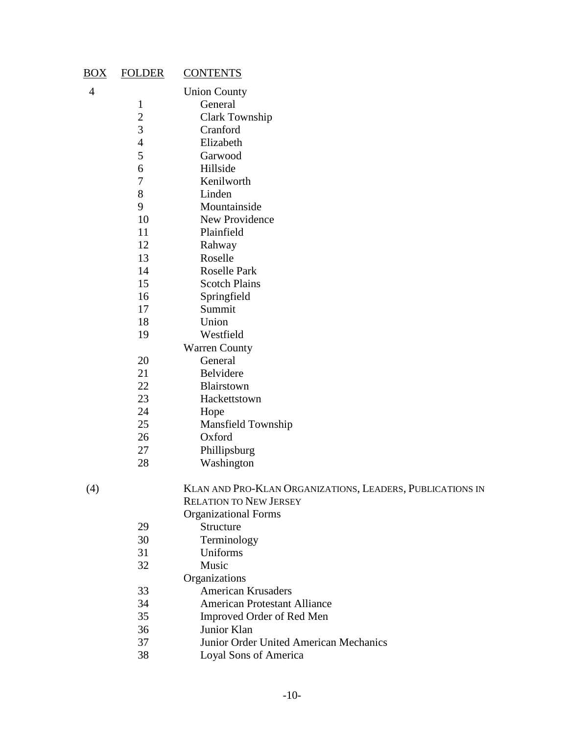| $\underline{BOX}$ | <b>FOLDER</b>  | <b>CONTENTS</b>              |
|-------------------|----------------|------------------------------|
| $\overline{4}$    |                | <b>Union County</b>          |
|                   | 1              | General                      |
|                   |                | <b>Clark Township</b>        |
|                   | $\frac{2}{3}$  | Cranford                     |
|                   | $\overline{4}$ | Elizabeth                    |
|                   | 5              | Garwood                      |
|                   | 6              | Hillside                     |
|                   | 7              | Kenilworth                   |
|                   | 8              | Linden                       |
|                   | 9              | Mountainside                 |
|                   | 10             | <b>New Providence</b>        |
|                   | 11             | Plainfield                   |
|                   | 12             | Rahway                       |
|                   | 13             | Roselle                      |
|                   | 14             | <b>Roselle Park</b>          |
|                   | 15             | <b>Scotch Plains</b>         |
|                   | 16             | Springfield                  |
|                   | 17             | Summit                       |
|                   | 18             | Union                        |
|                   | 19             | Westfield                    |
|                   |                | <b>Warren County</b>         |
|                   | 20             | General                      |
|                   | 21             | Belvidere                    |
|                   | 22             | Blairstown                   |
|                   | 23             | Hackettstown                 |
|                   | 24             | Hope                         |
|                   | 25             | <b>Mansfield Township</b>    |
|                   | 26             | Oxford                       |
|                   | 27             | Phillipsburg                 |
|                   | 28             | Washington                   |
| (4)               |                | <b>KLAN AND PRO-KLAN O</b>   |
|                   |                | <b>DELATION TO MEW IEDST</b> |

| (4) | KLAN AND PRO-KLAN ORGANIZATIONS, LEADERS, PUBLICATIONS IN |
|-----|-----------------------------------------------------------|
|     | <b>RELATION TO NEW JERSEY</b>                             |
|     | $\Omega$                                                  |

Organizational Forms 29 Structure<br>30 Terminolo **Terminology**  Uniforms Music **Organizations** 33 **American Krusaders**<br>34 **American Protestant** American Protestant Alliance Improved Order of Red Men 36 Junior Klan<br>37 Junior Order 37 Junior Order United American Mechanics<br>38 Loval Sons of America Loyal Sons of America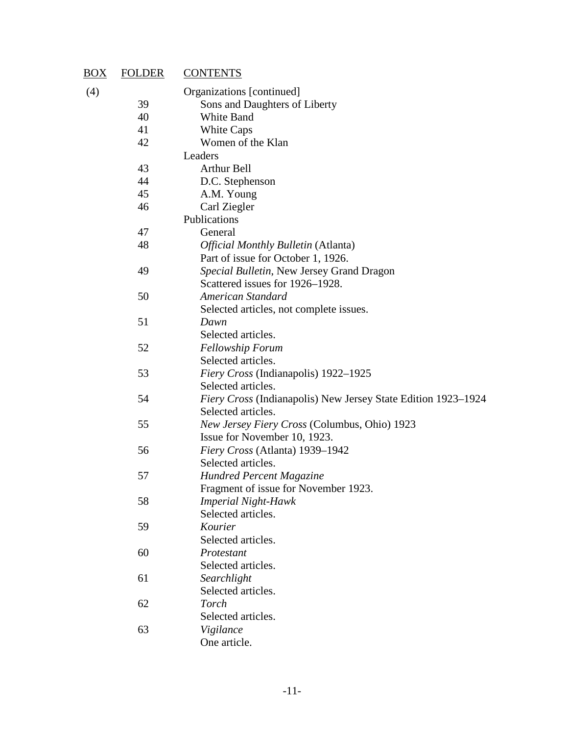| $\overline{BOX}$ | <b>FOLDER</b> | <b>CONTENTS</b>                                               |
|------------------|---------------|---------------------------------------------------------------|
| (4)              |               | Organizations [continued]                                     |
|                  | 39            | Sons and Daughters of Liberty                                 |
|                  | 40            | White Band                                                    |
|                  | 41            | White Caps                                                    |
|                  | 42            | Women of the Klan                                             |
|                  |               | Leaders                                                       |
|                  | 43            | <b>Arthur Bell</b>                                            |
|                  | 44            | D.C. Stephenson                                               |
|                  | 45            | A.M. Young                                                    |
|                  | 46            | Carl Ziegler                                                  |
|                  |               | Publications                                                  |
|                  | 47            | General                                                       |
|                  | 48            | Official Monthly Bulletin (Atlanta)                           |
|                  |               | Part of issue for October 1, 1926.                            |
|                  | 49            | Special Bulletin, New Jersey Grand Dragon                     |
|                  |               | Scattered issues for 1926–1928.                               |
|                  | 50            | American Standard                                             |
|                  |               | Selected articles, not complete issues.                       |
|                  | 51            | Dawn                                                          |
|                  |               | Selected articles.                                            |
|                  | 52            | Fellowship Forum                                              |
|                  |               | Selected articles.                                            |
|                  | 53            | Fiery Cross (Indianapolis) 1922–1925                          |
|                  |               | Selected articles.                                            |
|                  | 54            | Fiery Cross (Indianapolis) New Jersey State Edition 1923–1924 |
|                  |               | Selected articles.                                            |
|                  | 55            | New Jersey Fiery Cross (Columbus, Ohio) 1923                  |
|                  |               | Issue for November 10, 1923.                                  |
|                  | 56            | Fiery Cross (Atlanta) 1939-1942                               |
|                  |               | Selected articles.                                            |
|                  | 57            | <b>Hundred Percent Magazine</b>                               |
|                  |               | Fragment of issue for November 1923.                          |
|                  | 58            | <b>Imperial Night-Hawk</b>                                    |
|                  |               | Selected articles.                                            |
|                  | 59            | Kourier                                                       |
|                  |               | Selected articles.                                            |
|                  | 60            | Protestant                                                    |
|                  |               | Selected articles.                                            |
|                  | 61            | Searchlight                                                   |
|                  |               | Selected articles.                                            |
|                  | 62            | Torch                                                         |
|                  |               | Selected articles.                                            |
|                  | 63            | Vigilance                                                     |
|                  |               | One article.                                                  |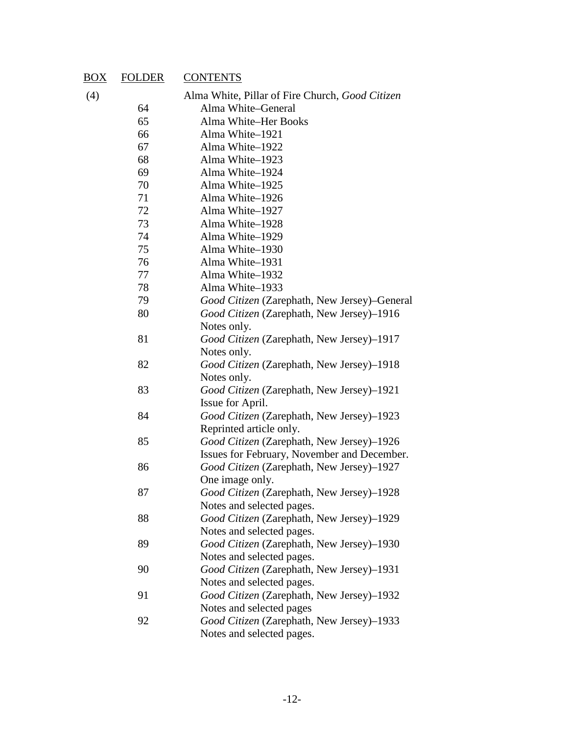#### BOX FOLDER CONTENTS

| (4) |  |  | Alma White, Pillar of Fire Church, Good Citizen |  |
|-----|--|--|-------------------------------------------------|--|

- Alma White–General
- Alma White–Her Books Alma White–1921
- Alma White–1922 Alma White–1923 Alma White–1924
- Alma White–1925 Alma White–1926
- Alma White–1927
- Alma White–1928 Alma White–1929
- Alma White–1930
- Alma White–1931
- Alma White–1932
- Alma White–1933
- *Good Citizen* (Zarephath, New Jersey)–General
- *Good Citizen* (Zarephath, New Jersey)–1916 Notes only. *Good Citizen* (Zarephath, New Jersey)–1917 Notes only.
- *Good Citizen* (Zarephath, New Jersey)–1918 Notes only.
- *Good Citizen* (Zarephath, New Jersey)–1921 Issue for April.
- *Good Citizen* (Zarephath, New Jersey)–1923 Reprinted article only.
- *Good Citizen* (Zarephath, New Jersey)–1926 Issues for February, November and December.
- *Good Citizen* (Zarephath, New Jersey)–1927 One image only.
- *Good Citizen* (Zarephath, New Jersey)–1928 Notes and selected pages.
- *Good Citizen* (Zarephath, New Jersey)–1929 Notes and selected pages.
- *Good Citizen* (Zarephath, New Jersey)–1930 Notes and selected pages.
- *Good Citizen* (Zarephath, New Jersey)–1931 Notes and selected pages.
- *Good Citizen* (Zarephath, New Jersey)–1932 Notes and selected pages
- *Good Citizen* (Zarephath, New Jersey)–1933 Notes and selected pages.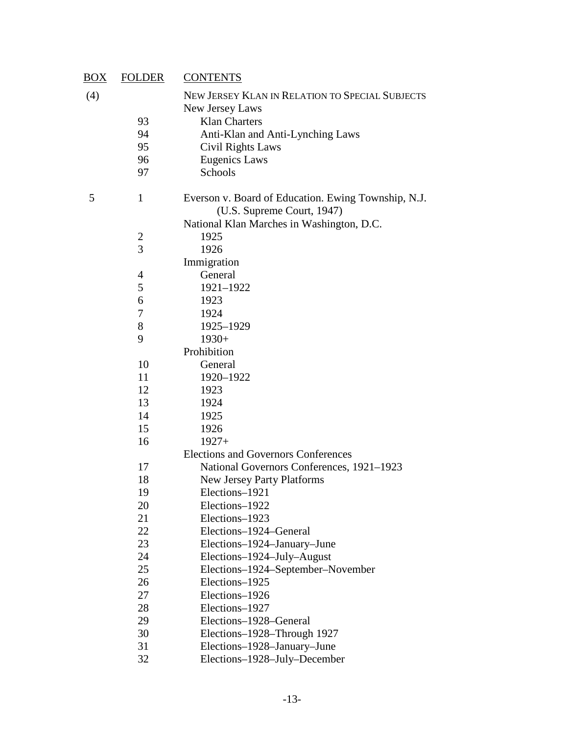| $\underline{BOX}$ | <b>FOLDER</b>    | <b>CONTENTS</b>                                                                                                                |
|-------------------|------------------|--------------------------------------------------------------------------------------------------------------------------------|
| (4)               |                  | NEW JERSEY KLAN IN RELATION TO SPECIAL SUBJECTS<br>New Jersey Laws                                                             |
|                   | 93               | <b>Klan Charters</b>                                                                                                           |
|                   | 94               | Anti-Klan and Anti-Lynching Laws                                                                                               |
|                   | 95               | Civil Rights Laws                                                                                                              |
|                   | 96               | <b>Eugenics Laws</b>                                                                                                           |
|                   | 97               | Schools                                                                                                                        |
| 5                 | $\mathbf{1}$     | Everson v. Board of Education. Ewing Township, N.J.<br>(U.S. Supreme Court, 1947)<br>National Klan Marches in Washington, D.C. |
|                   |                  | 1925                                                                                                                           |
|                   | $\frac{2}{3}$    | 1926                                                                                                                           |
|                   |                  | Immigration                                                                                                                    |
|                   | 4                | General                                                                                                                        |
|                   | 5                | 1921-1922                                                                                                                      |
|                   | 6                | 1923                                                                                                                           |
|                   | $\boldsymbol{7}$ | 1924                                                                                                                           |
|                   | $8\,$            | 1925-1929                                                                                                                      |
|                   | 9                | $1930+$                                                                                                                        |
|                   |                  | Prohibition                                                                                                                    |
|                   | 10               | General                                                                                                                        |
|                   | 11               | 1920-1922                                                                                                                      |
|                   | 12               | 1923                                                                                                                           |
|                   | 13               | 1924                                                                                                                           |
|                   | 14               | 1925                                                                                                                           |
|                   | 15               | 1926                                                                                                                           |
|                   | 16               | $1927+$                                                                                                                        |
|                   |                  | <b>Elections and Governors Conferences</b>                                                                                     |
|                   | 17               | National Governors Conferences, 1921–1923                                                                                      |
|                   | 18               | <b>New Jersey Party Platforms</b>                                                                                              |
|                   | 19               | Elections-1921                                                                                                                 |
|                   | 20               | Elections-1922                                                                                                                 |
|                   | 21               | Elections-1923                                                                                                                 |
|                   | 22               | Elections-1924-General                                                                                                         |
|                   | 23               | Elections-1924-January-June                                                                                                    |
|                   | 24               | Elections-1924-July-August                                                                                                     |
|                   | 25               | Elections-1924-September-November                                                                                              |
|                   | 26               | Elections-1925                                                                                                                 |
|                   | 27               | Elections-1926                                                                                                                 |
|                   | 28               | Elections-1927                                                                                                                 |
|                   | 29               | Elections-1928-General                                                                                                         |
|                   | 30               | Elections-1928-Through 1927                                                                                                    |
|                   | 31               | Elections-1928-January-June                                                                                                    |
|                   | 32               | Elections-1928-July-December                                                                                                   |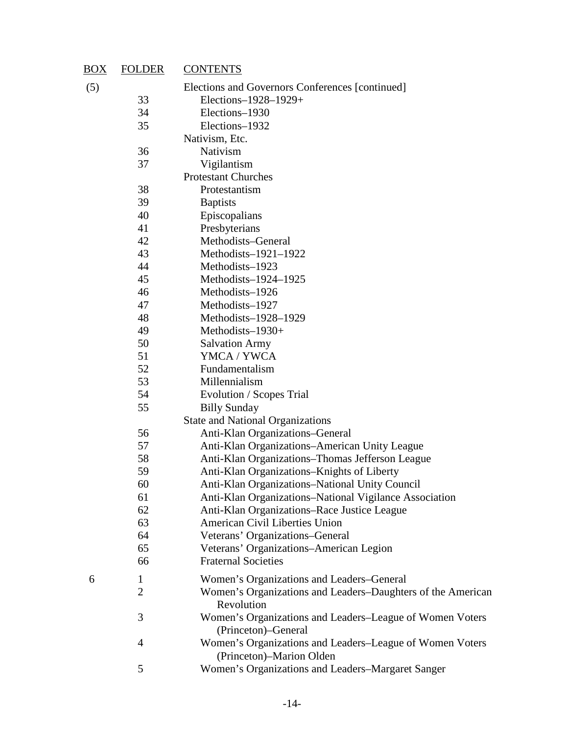| $\underline{BOX}$ | <b>FOLDER</b>  | <b>CONTENTS</b>                                                                      |
|-------------------|----------------|--------------------------------------------------------------------------------------|
| (5)               |                | Elections and Governors Conferences [continued]                                      |
|                   | 33             | Elections-1928-1929+                                                                 |
|                   | 34             | Elections-1930                                                                       |
|                   | 35             | Elections-1932                                                                       |
|                   |                | Nativism, Etc.                                                                       |
|                   | 36             | Nativism                                                                             |
|                   | 37             | Vigilantism                                                                          |
|                   |                | <b>Protestant Churches</b>                                                           |
|                   | 38             | Protestantism                                                                        |
|                   | 39             | <b>Baptists</b>                                                                      |
|                   | 40             | Episcopalians                                                                        |
|                   | 41             | Presbyterians                                                                        |
|                   | 42             | Methodists-General                                                                   |
|                   | 43             | Methodists-1921-1922                                                                 |
|                   | 44             | Methodists-1923                                                                      |
|                   | 45             | Methodists-1924-1925                                                                 |
|                   | 46             | Methodists-1926                                                                      |
|                   | 47             | Methodists-1927                                                                      |
|                   | 48             | Methodists-1928-1929                                                                 |
|                   | 49             | Methodists-1930+                                                                     |
|                   | 50             | <b>Salvation Army</b>                                                                |
|                   | 51             | YMCA / YWCA                                                                          |
|                   | 52             | Fundamentalism                                                                       |
|                   | 53             | Millennialism                                                                        |
|                   | 54             | Evolution / Scopes Trial                                                             |
|                   | 55             | <b>Billy Sunday</b>                                                                  |
|                   |                | <b>State and National Organizations</b>                                              |
|                   | 56             | Anti-Klan Organizations-General                                                      |
|                   | 57             | Anti-Klan Organizations-American Unity League                                        |
|                   | 58             | Anti-Klan Organizations-Thomas Jefferson League                                      |
|                   | 59             | Anti-Klan Organizations–Knights of Liberty                                           |
|                   | 60             | Anti-Klan Organizations-National Unity Council                                       |
|                   | 61             | Anti-Klan Organizations-National Vigilance Association                               |
|                   | 62             | Anti-Klan Organizations-Race Justice League                                          |
|                   | 63             | American Civil Liberties Union                                                       |
|                   | 64             | Veterans' Organizations-General                                                      |
|                   | 65             | Veterans' Organizations-American Legion                                              |
|                   | 66             | <b>Fraternal Societies</b>                                                           |
| 6                 | $\mathbf{1}$   | Women's Organizations and Leaders-General                                            |
|                   | $\overline{2}$ | Women's Organizations and Leaders–Daughters of the American<br>Revolution            |
|                   | 3              | Women's Organizations and Leaders-League of Women Voters<br>(Princeton)–General      |
|                   | 4              | Women's Organizations and Leaders-League of Women Voters<br>(Princeton)–Marion Olden |
|                   | 5              | Women's Organizations and Leaders-Margaret Sanger                                    |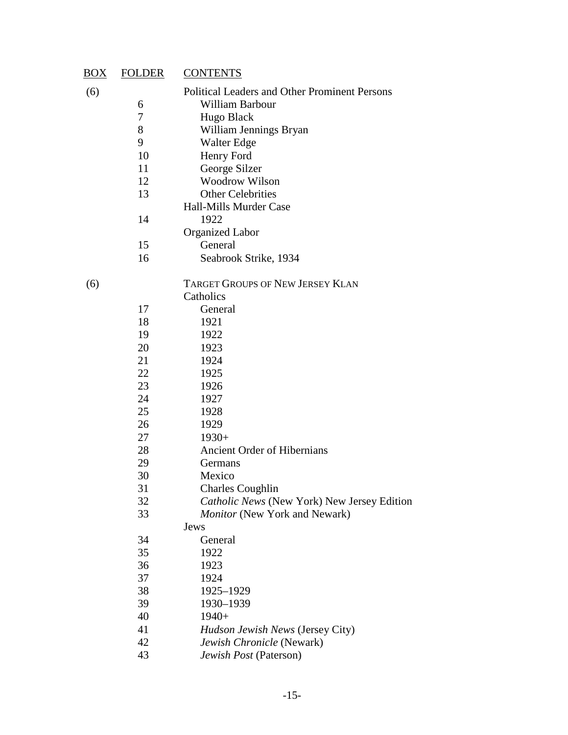| $\underline{BOX}$ | <b>FOLDER</b> | <b>CONTENTS</b>                                                        |
|-------------------|---------------|------------------------------------------------------------------------|
| (6)               |               | <b>Political Leaders and Other Prominent Persons</b>                   |
|                   | 6             | William Barbour                                                        |
|                   | 7             | Hugo Black                                                             |
|                   | 8             | William Jennings Bryan                                                 |
|                   | 9             | Walter Edge                                                            |
|                   | 10<br>11      | Henry Ford                                                             |
|                   | 12            | George Silzer<br><b>Woodrow Wilson</b>                                 |
|                   | 13            | <b>Other Celebrities</b>                                               |
|                   |               | <b>Hall-Mills Murder Case</b>                                          |
|                   | 14            | 1922                                                                   |
|                   |               | <b>Organized Labor</b>                                                 |
|                   | 15            | General                                                                |
|                   | 16            | Seabrook Strike, 1934                                                  |
| (6)               |               | <b>TARGET GROUPS OF NEW JERSEY KLAN</b>                                |
|                   |               | Catholics                                                              |
|                   | 17            | General                                                                |
|                   | 18            | 1921                                                                   |
|                   | 19            | 1922                                                                   |
|                   | 20            | 1923                                                                   |
|                   | 21            | 1924                                                                   |
|                   | 22            | 1925                                                                   |
|                   | 23            | 1926                                                                   |
|                   | 24            | 1927                                                                   |
|                   | 25            | 1928                                                                   |
|                   | 26            | 1929                                                                   |
|                   | 27            | $1930+$                                                                |
|                   | 28            | Ancient Order of Hibernians                                            |
|                   | 29            | Germans                                                                |
|                   | 30            | Mexico                                                                 |
|                   | 31<br>32      | <b>Charles Coughlin</b><br>Catholic News (New York) New Jersey Edition |
|                   | 33            | Monitor (New York and Newark)                                          |
|                   |               | Jews                                                                   |
|                   | 34            | General                                                                |
|                   | 35            | 1922                                                                   |
|                   | 36            | 1923                                                                   |
|                   | 37            | 1924                                                                   |
|                   | 38            | 1925-1929                                                              |
|                   | 39            | 1930-1939                                                              |
|                   | 40            | $1940+$                                                                |
|                   | 41            | Hudson Jewish News (Jersey City)                                       |
|                   | 42            | Jewish Chronicle (Newark)                                              |
|                   | 43            | Jewish Post (Paterson)                                                 |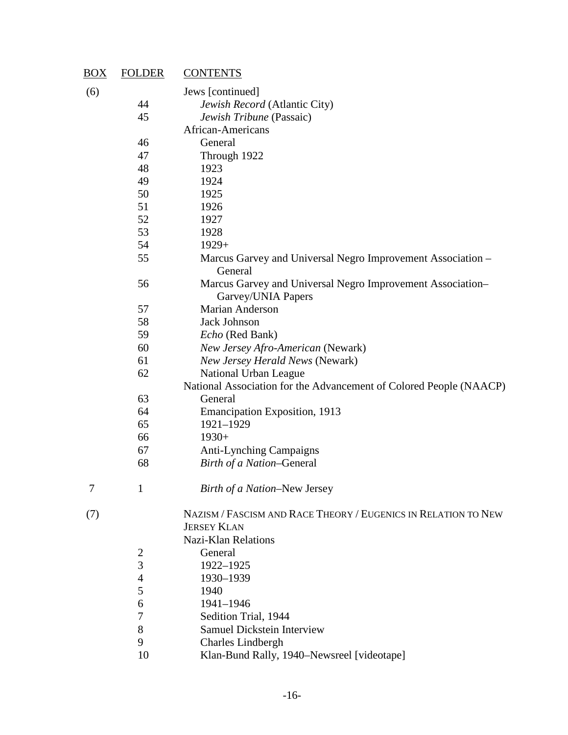| $\overline{BOX}$ | <b>FOLDER</b>    | <b>CONTENTS</b>                                                                  |
|------------------|------------------|----------------------------------------------------------------------------------|
| (6)              |                  | Jews [continued]                                                                 |
|                  | 44               | Jewish Record (Atlantic City)                                                    |
|                  | 45               | Jewish Tribune (Passaic)                                                         |
|                  |                  | African-Americans                                                                |
|                  | 46               | General                                                                          |
|                  | 47               | Through 1922                                                                     |
|                  | 48               | 1923                                                                             |
|                  | 49               | 1924                                                                             |
|                  | 50               | 1925                                                                             |
|                  | 51               | 1926                                                                             |
|                  | 52               | 1927                                                                             |
|                  | 53               | 1928                                                                             |
|                  | 54               | $1929+$                                                                          |
|                  | 55               | Marcus Garvey and Universal Negro Improvement Association -<br>General           |
|                  | 56               | Marcus Garvey and Universal Negro Improvement Association-<br>Garvey/UNIA Papers |
|                  | 57               | Marian Anderson                                                                  |
|                  | 58               | <b>Jack Johnson</b>                                                              |
|                  | 59               | Echo (Red Bank)                                                                  |
|                  | 60               | New Jersey Afro-American (Newark)                                                |
|                  | 61               | New Jersey Herald News (Newark)                                                  |
|                  | 62               | National Urban League                                                            |
|                  |                  | National Association for the Advancement of Colored People (NAACP)               |
|                  | 63               | General                                                                          |
|                  | 64               | <b>Emancipation Exposition</b> , 1913                                            |
|                  | 65               | 1921-1929                                                                        |
|                  | 66               | $1930+$                                                                          |
|                  | 67               | <b>Anti-Lynching Campaigns</b>                                                   |
|                  | 68               | Birth of a Nation-General                                                        |
| 7                | $\mathbf{1}$     | Birth of a Nation-New Jersey                                                     |
| (7)              |                  | NAZISM / FASCISM AND RACE THEORY / EUGENICS IN RELATION TO NEW                   |
|                  |                  | <b>JERSEY KLAN</b>                                                               |
|                  |                  | <b>Nazi-Klan Relations</b>                                                       |
|                  | $\overline{c}$   | General                                                                          |
|                  | 3                | 1922-1925                                                                        |
|                  | $\overline{4}$   | 1930-1939                                                                        |
|                  | 5                | 1940                                                                             |
|                  | 6                | 1941-1946                                                                        |
|                  | $\boldsymbol{7}$ | Sedition Trial, 1944                                                             |
|                  | 8                | <b>Samuel Dickstein Interview</b>                                                |
|                  | 9                | <b>Charles Lindbergh</b>                                                         |
|                  | 10               | Klan-Bund Rally, 1940-Newsreel [videotape]                                       |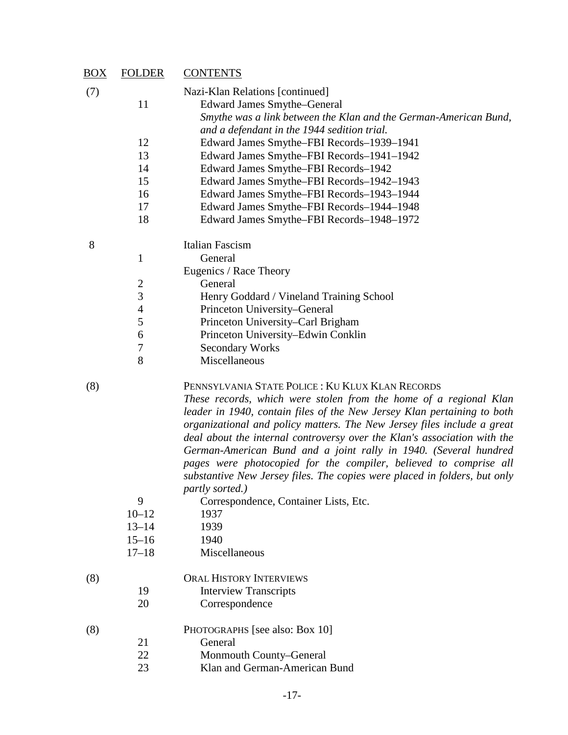| <u>BOX</u> | <b>FOLDER</b>               | <b>CONTENTS</b>                                                                                                                                                                                                                                                                                                                                                                                                                                                                                                                                                                                                                                          |
|------------|-----------------------------|----------------------------------------------------------------------------------------------------------------------------------------------------------------------------------------------------------------------------------------------------------------------------------------------------------------------------------------------------------------------------------------------------------------------------------------------------------------------------------------------------------------------------------------------------------------------------------------------------------------------------------------------------------|
| (7)        |                             | Nazi-Klan Relations [continued]                                                                                                                                                                                                                                                                                                                                                                                                                                                                                                                                                                                                                          |
|            | 11                          | <b>Edward James Smythe–General</b>                                                                                                                                                                                                                                                                                                                                                                                                                                                                                                                                                                                                                       |
|            |                             | Smythe was a link between the Klan and the German-American Bund,                                                                                                                                                                                                                                                                                                                                                                                                                                                                                                                                                                                         |
|            |                             | and a defendant in the 1944 sedition trial.                                                                                                                                                                                                                                                                                                                                                                                                                                                                                                                                                                                                              |
|            | 12                          | Edward James Smythe-FBI Records-1939-1941                                                                                                                                                                                                                                                                                                                                                                                                                                                                                                                                                                                                                |
|            | 13                          | Edward James Smythe-FBI Records-1941-1942                                                                                                                                                                                                                                                                                                                                                                                                                                                                                                                                                                                                                |
|            | 14                          | Edward James Smythe-FBI Records-1942                                                                                                                                                                                                                                                                                                                                                                                                                                                                                                                                                                                                                     |
|            | 15                          | Edward James Smythe-FBI Records-1942-1943                                                                                                                                                                                                                                                                                                                                                                                                                                                                                                                                                                                                                |
|            | 16                          | Edward James Smythe-FBI Records-1943-1944                                                                                                                                                                                                                                                                                                                                                                                                                                                                                                                                                                                                                |
|            | 17                          | Edward James Smythe-FBI Records-1944-1948                                                                                                                                                                                                                                                                                                                                                                                                                                                                                                                                                                                                                |
|            | 18                          | Edward James Smythe-FBI Records-1948-1972                                                                                                                                                                                                                                                                                                                                                                                                                                                                                                                                                                                                                |
| 8          |                             | Italian Fascism                                                                                                                                                                                                                                                                                                                                                                                                                                                                                                                                                                                                                                          |
|            | $\mathbf{1}$                | General                                                                                                                                                                                                                                                                                                                                                                                                                                                                                                                                                                                                                                                  |
|            |                             | Eugenics / Race Theory                                                                                                                                                                                                                                                                                                                                                                                                                                                                                                                                                                                                                                   |
|            | $\overline{c}$              | General                                                                                                                                                                                                                                                                                                                                                                                                                                                                                                                                                                                                                                                  |
|            | $\overline{3}$              | Henry Goddard / Vineland Training School                                                                                                                                                                                                                                                                                                                                                                                                                                                                                                                                                                                                                 |
|            | $\overline{4}$              | Princeton University-General                                                                                                                                                                                                                                                                                                                                                                                                                                                                                                                                                                                                                             |
|            | 5                           | Princeton University–Carl Brigham                                                                                                                                                                                                                                                                                                                                                                                                                                                                                                                                                                                                                        |
|            | 6                           | Princeton University-Edwin Conklin                                                                                                                                                                                                                                                                                                                                                                                                                                                                                                                                                                                                                       |
|            | 7                           | <b>Secondary Works</b>                                                                                                                                                                                                                                                                                                                                                                                                                                                                                                                                                                                                                                   |
|            | 8                           | Miscellaneous                                                                                                                                                                                                                                                                                                                                                                                                                                                                                                                                                                                                                                            |
| (8)        | 9<br>$10 - 12$<br>$13 - 14$ | PENNSYLVANIA STATE POLICE: KU KLUX KLAN RECORDS<br>These records, which were stolen from the home of a regional Klan<br>leader in 1940, contain files of the New Jersey Klan pertaining to both<br>organizational and policy matters. The New Jersey files include a great<br>deal about the internal controversy over the Klan's association with the<br>German-American Bund and a joint rally in 1940. (Several hundred<br>pages were photocopied for the compiler, believed to comprise all<br>substantive New Jersey files. The copies were placed in folders, but only<br>partly sorted.)<br>Correspondence, Container Lists, Etc.<br>1937<br>1939 |
|            | $15 - 16$                   | 1940                                                                                                                                                                                                                                                                                                                                                                                                                                                                                                                                                                                                                                                     |
|            | $17 - 18$                   | Miscellaneous                                                                                                                                                                                                                                                                                                                                                                                                                                                                                                                                                                                                                                            |
| (8)        |                             | <b>ORAL HISTORY INTERVIEWS</b>                                                                                                                                                                                                                                                                                                                                                                                                                                                                                                                                                                                                                           |
|            | 19                          | <b>Interview Transcripts</b>                                                                                                                                                                                                                                                                                                                                                                                                                                                                                                                                                                                                                             |
|            | 20                          | Correspondence                                                                                                                                                                                                                                                                                                                                                                                                                                                                                                                                                                                                                                           |
| (8)        |                             | PHOTOGRAPHS [see also: Box 10]                                                                                                                                                                                                                                                                                                                                                                                                                                                                                                                                                                                                                           |
|            | 21                          | General                                                                                                                                                                                                                                                                                                                                                                                                                                                                                                                                                                                                                                                  |
|            | 22                          | Monmouth County-General                                                                                                                                                                                                                                                                                                                                                                                                                                                                                                                                                                                                                                  |
|            | 23                          | Klan and German-American Bund                                                                                                                                                                                                                                                                                                                                                                                                                                                                                                                                                                                                                            |